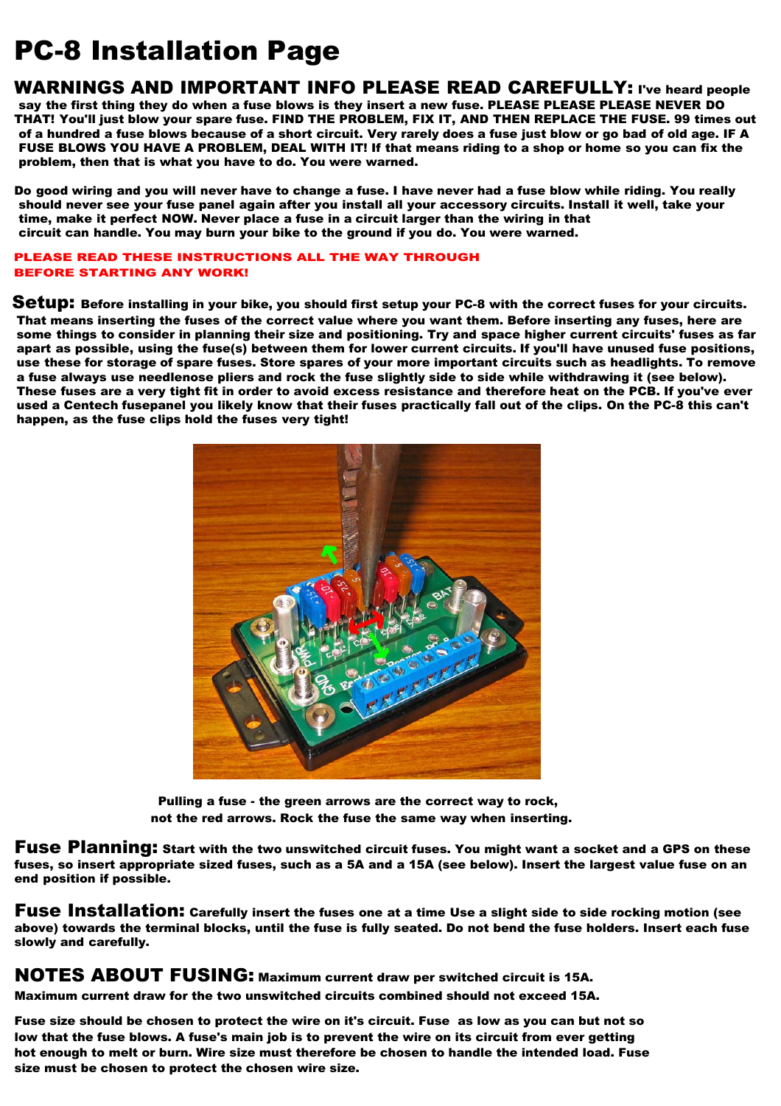# PC-8 Installation Page

WARNINGS AND IMPORTANT INFO PLEASE READ CAREFULLY: I've heard people say the first thing they do when a fuse blows is they insert a new fuse. PLEASE PLEASE PLEASE NEVER DO THAT! You'll just blow your spare fuse. FIND THE PROBLEM, FIX IT, AND THEN REPLACE THE FUSE. 99 times out of a hundred a fuse blows because of a short circuit. Very rarely does a fuse just blow or go bad of old age. IF A problem, FUSE BLOWS YOU HAVE A PROBLEM, DEAL WITH IT! If that means riding to a shop or home so you can fix the

problem, then that is what you have to do. You were warned.<br>Do good wiring and you will never have to change a fuse. I have never had a fuse blow while riding. You really should never see your fuse panel again after you install all your accessory circuits. Install it well, take your time, make it perfect NOW. Never place a fuse in a circuit larger than the wiring in that circuit can handle. You may burn your bike to the ground if you do. You were warned.

#### PLEASE READ THESE INSTRUCTIONS ALL THE WAY THROUGH BEFORE STARTING ANY WORK!

Setup: Before installing in your bike, you should first setup your PC-8 with the correct fuses for your circuits. That means inserting the fuses of the correct value where you want them. Before inserting any fuses, here are some things to consider in planning their size and positioning. Try and space higher current circuits' fuses as far apart as possible, using the fuse(s) between them for lower current circuits. If you'll have unused fuse positions, use these for storage of spare fuses. Store spares of your more important circuits such as headlights. To remove a fuse always use needlenose pliers and rock the fuse slightly side to side while withdrawing it (see below). These fuses are a very tight fit in order to avoid excess resistance and therefore heat on the PCB. If you've ever used a Centech fusepanel you likely know that their fuses practically fall out of the clips. On the PC-8 this can't happen, as the fuse clips hold the fuses very tight!



Pulling a fuse - the green arrows are the correct way to rock, not the red arrows. Rock the fuse the same way when inserting.

Fuse Planning: Start with the two unswitched circuit fuses. You might want a socket and a GPS on these fuses, so insert appropriate sized fuses, such as a 5A and a 15A (see below). Insert the largest value fuse on an end position if possible.

Fuse Installation: Carefully insert the fuses one at a time Use a slight side to side rocking motion (see above) towards the terminal blocks, until the fuse is fully seated. Do not bend the fuse holders. Insert each fuse slowly and carefully.

NOTES ABOUT FUSING: Maximum current draw per switched circuit is 15A.

Maximum current draw for the two unswitched circuits combined should not exceed 15A.

Fuse size should be chosen to protect the wire on it's circuit. Fuse as low as you can but not so low that the fuse blows. A fuse's main job is to prevent the wire on its circuit from ever getting hot enough to melt or burn. Wire size must therefore be chosen to handle the intended load. Fuse size must be chosen to protect the chosen wire size.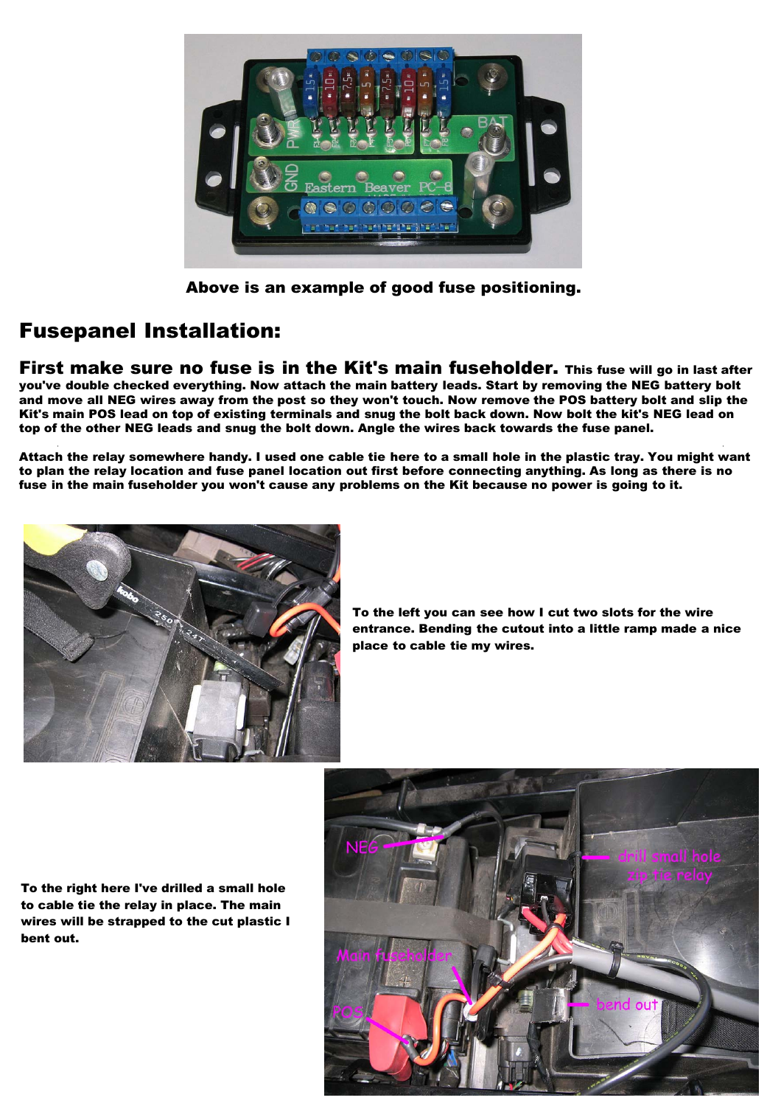

Above is an example of good fuse positioning.

## Fusepanel Installation:

First make sure no fuse is in the Kit's main fuseholder. This fuse will go in last after you've double checked everything. Now attach the main battery leads. Start by removing the NEG battery bolt and move all NEG wires away from the post so they won't touch. Now remove the POS battery bolt and slip the Kit's main POS lead on top of existing terminals and snug the bolt back down. Now bolt the kit's NEG lead on top of the other NEG leads and snug the bolt down. Angle the wires back towards the fuse panel.

Attach the relay somewhere handy. I used one cable tie here to a small hole in the plastic tray. You might want to plan the relay location and fuse panel location out first before connecting anything. As long as there is no fuse in the main fuseholder you won't cause any problems on the Kit because no power is going to it.



To the left you can see how I cut two slots for the wire entrance. Bending the cutout into a little ramp made a nice place to cable tie my wires.

To the right here I've drilled a small hole to cable tie the relay in place. The main wires will be strapped to the cut plastic I bent out.

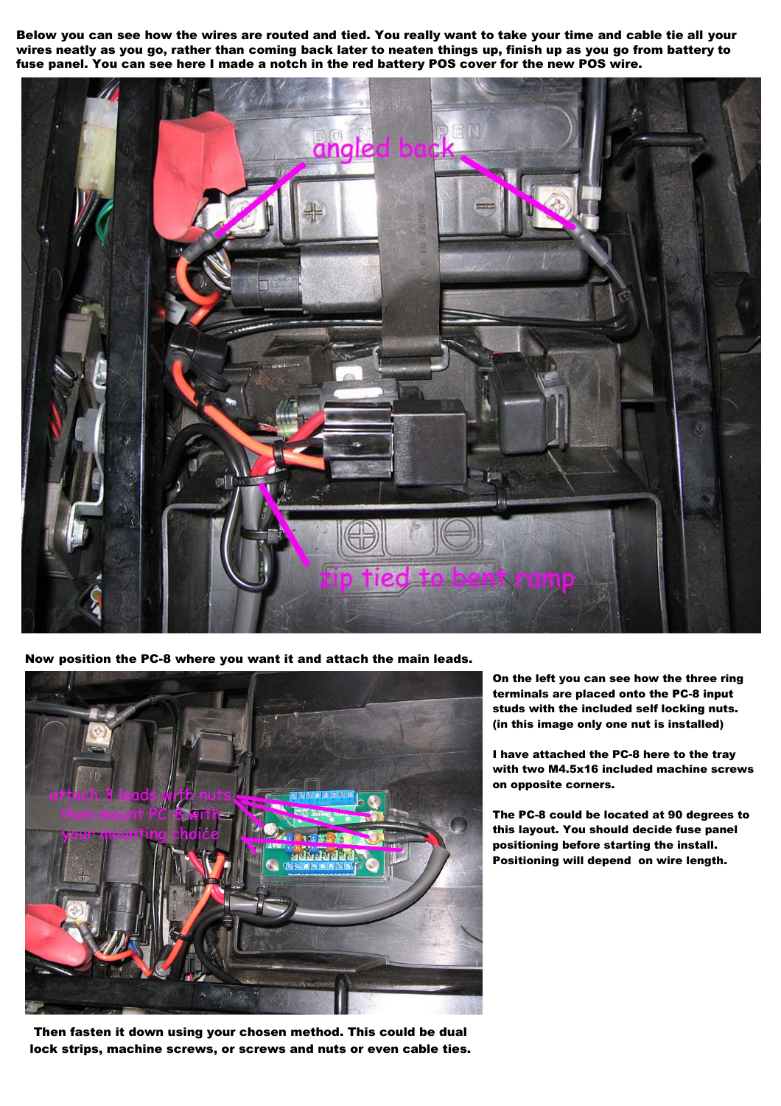Below you can see how the wires are routed and tied. You really want to take your time and cable tie all your wires neatly as you go, rather than coming back later to neaten things up, finish up as you go from battery to fuse panel. You can see here I made a notch in the red battery POS cover for the new POS wire.



Now position the PC-8 where you want it and attach the main leads.



Then fasten it down using your chosen method. This could be dual lock strips, machine screws, or screws and nuts or even cable ties.

On the left you can see how the three ring terminals are placed onto the PC-8 input studs with the included self locking nuts. (in this image only one nut is installed)

I have attached the PC-8 here to the tray with two M4.5x16 included machine screws on opposite corners.

The PC-8 could be located at 90 degrees to this layout. You should decide fuse panel positioning before starting the install. Positioning will depend on wire length.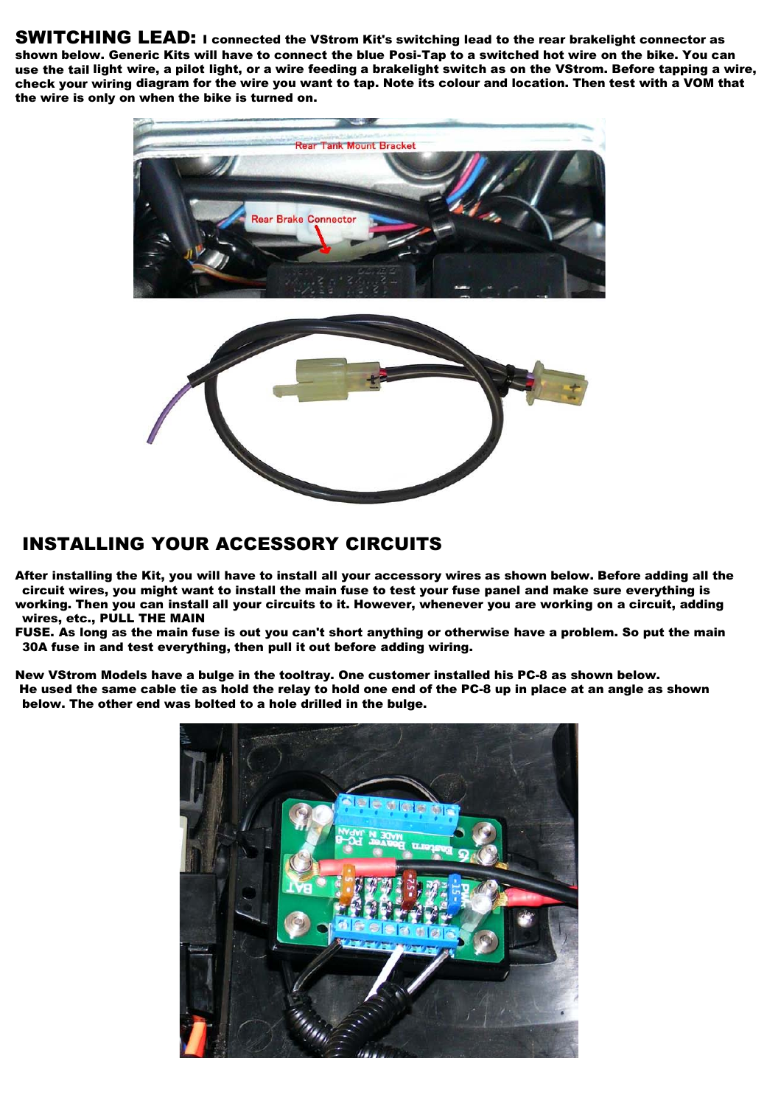SWITCHING LEAD: I connected the VStrom Kit's switching lead to the rear brakelight connector as shown below. Generic Kits will have to connect the blue Posi-Tap to a switched hot wire on the bike. You can use the tail light wire, a pilot light, or a wire feeding a brakelight switch as on the VStrom. Before tapping a wire, check your wiring diagram for the wire you want to tap. Note its colour and location. Then test with a VOM that the wire is only on when the bike is turned on.



#### INSTALLING YOUR ACCESSORY CIRCUITS

After installing the Kit, you will have to install all your accessory wires as shown below. Before adding all the circuit wires, you might want to install the main fuse to test your fuse panel and make sure everything is working. Then you can install all your circuits to it. However, whenever you are working on a circuit, adding wires, etc., PULL THE MAIN

FUSE. As long as the main fuse is out you can't short anything or otherwise have a problem. So put the main 30A fuse in and test everything, then pull it out before adding wiring.

New VStrom Models have a bulge in the tooltray. One customer installed his PC-8 as shown below. He used the same cable tie as hold the relay to hold one end of the PC-8 up in place at an angle as shown below. The other end was bolted to a hole drilled in the bulge.